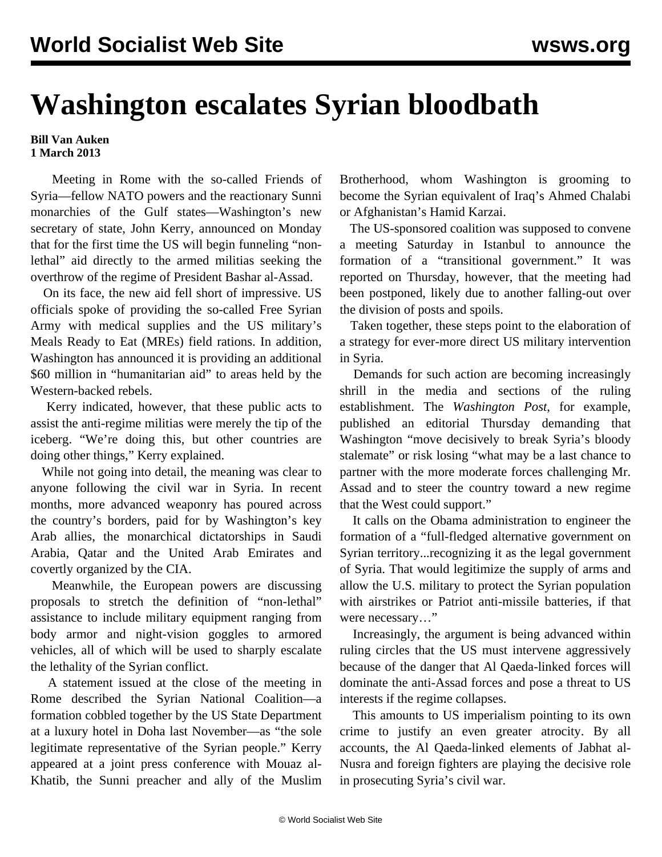## **Washington escalates Syrian bloodbath**

## **Bill Van Auken 1 March 2013**

 Meeting in Rome with the so-called Friends of Syria—fellow NATO powers and the reactionary Sunni monarchies of the Gulf states—Washington's new secretary of state, John Kerry, announced on Monday that for the first time the US will begin funneling "nonlethal" aid directly to the armed militias seeking the overthrow of the regime of President Bashar al-Assad.

 On its face, the new aid fell short of impressive. US officials spoke of providing the so-called Free Syrian Army with medical supplies and the US military's Meals Ready to Eat (MREs) field rations. In addition, Washington has announced it is providing an additional \$60 million in "humanitarian aid" to areas held by the Western-backed rebels.

 Kerry indicated, however, that these public acts to assist the anti-regime militias were merely the tip of the iceberg. "We're doing this, but other countries are doing other things," Kerry explained.

 While not going into detail, the meaning was clear to anyone following the civil war in Syria. In recent months, more advanced weaponry has poured across the country's borders, paid for by Washington's key Arab allies, the monarchical dictatorships in Saudi Arabia, Qatar and the United Arab Emirates and covertly organized by the CIA.

 Meanwhile, the European powers are discussing proposals to stretch the definition of "non-lethal" assistance to include military equipment ranging from body armor and night-vision goggles to armored vehicles, all of which will be used to sharply escalate the lethality of the Syrian conflict.

 A statement issued at the close of the meeting in Rome described the Syrian National Coalition—a formation cobbled together by the US State Department at a luxury hotel in Doha last November—as "the sole legitimate representative of the Syrian people." Kerry appeared at a joint press conference with Mouaz al-Khatib, the Sunni preacher and ally of the Muslim

Brotherhood, whom Washington is grooming to become the Syrian equivalent of Iraq's Ahmed Chalabi or Afghanistan's Hamid Karzai.

 The US-sponsored coalition was supposed to convene a meeting Saturday in Istanbul to announce the formation of a "transitional government." It was reported on Thursday, however, that the meeting had been postponed, likely due to another falling-out over the division of posts and spoils.

 Taken together, these steps point to the elaboration of a strategy for ever-more direct US military intervention in Syria.

 Demands for such action are becoming increasingly shrill in the media and sections of the ruling establishment. The *Washington Post*, for example, published an editorial Thursday demanding that Washington "move decisively to break Syria's bloody stalemate" or risk losing "what may be a last chance to partner with the more moderate forces challenging Mr. Assad and to steer the country toward a new regime that the West could support."

 It calls on the Obama administration to engineer the formation of a "full-fledged alternative government on Syrian territory...recognizing it as the legal government of Syria. That would legitimize the supply of arms and allow the U.S. military to protect the Syrian population with airstrikes or Patriot anti-missile batteries, if that were necessary…"

 Increasingly, the argument is being advanced within ruling circles that the US must intervene aggressively because of the danger that Al Qaeda-linked forces will dominate the anti-Assad forces and pose a threat to US interests if the regime collapses.

 This amounts to US imperialism pointing to its own crime to justify an even greater atrocity. By all accounts, the Al Qaeda-linked elements of Jabhat al-Nusra and foreign fighters are playing the decisive role in prosecuting Syria's civil war.